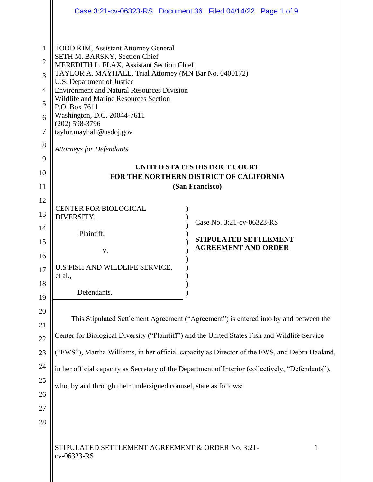|                                                                                             | Case 3:21-cv-06323-RS  Document 36  Filed 04/14/22  Page 1 of 9                                                                                                                                                                                                                                                                                                                                                                                    |
|---------------------------------------------------------------------------------------------|----------------------------------------------------------------------------------------------------------------------------------------------------------------------------------------------------------------------------------------------------------------------------------------------------------------------------------------------------------------------------------------------------------------------------------------------------|
| $\mathbf{1}$<br>$\overline{2}$<br>$\overline{3}$<br>$\overline{4}$<br>5<br>6<br>7<br>8<br>9 | <b>TODD KIM, Assistant Attorney General</b><br>SETH M. BARSKY, Section Chief<br>MEREDITH L. FLAX, Assistant Section Chief<br>TAYLOR A. MAYHALL, Trial Attorney (MN Bar No. 0400172)<br>U.S. Department of Justice<br><b>Environment and Natural Resources Division</b><br>Wildlife and Marine Resources Section<br>P.O. Box 7611<br>Washington, D.C. 20044-7611<br>$(202)$ 598-3796<br>taylor.mayhall@usdoj.gov<br><b>Attorneys for Defendants</b> |
|                                                                                             | UNITED STATES DISTRICT COURT                                                                                                                                                                                                                                                                                                                                                                                                                       |
| 10                                                                                          | FOR THE NORTHERN DISTRICT OF CALIFORNIA<br>(San Francisco)                                                                                                                                                                                                                                                                                                                                                                                         |
| 11<br>12                                                                                    |                                                                                                                                                                                                                                                                                                                                                                                                                                                    |
| 13                                                                                          | <b>CENTER FOR BIOLOGICAL</b>                                                                                                                                                                                                                                                                                                                                                                                                                       |
| 14                                                                                          | DIVERSITY,<br>Case No. 3:21-cv-06323-RS                                                                                                                                                                                                                                                                                                                                                                                                            |
| 15                                                                                          | Plaintiff,<br><b>STIPULATED SETTLEMENT</b>                                                                                                                                                                                                                                                                                                                                                                                                         |
| 16                                                                                          | <b>AGREEMENT AND ORDER</b><br>V.                                                                                                                                                                                                                                                                                                                                                                                                                   |
| 17                                                                                          | U.S FISH AND WILDLIFE SERVICE,                                                                                                                                                                                                                                                                                                                                                                                                                     |
| 18                                                                                          | et al.,                                                                                                                                                                                                                                                                                                                                                                                                                                            |
| 19                                                                                          | Defendants.                                                                                                                                                                                                                                                                                                                                                                                                                                        |
| 20                                                                                          |                                                                                                                                                                                                                                                                                                                                                                                                                                                    |
| 21                                                                                          | This Stipulated Settlement Agreement ("Agreement") is entered into by and between the                                                                                                                                                                                                                                                                                                                                                              |
| 22                                                                                          | Center for Biological Diversity ("Plaintiff") and the United States Fish and Wildlife Service                                                                                                                                                                                                                                                                                                                                                      |
| 23                                                                                          | ("FWS"), Martha Williams, in her official capacity as Director of the FWS, and Debra Haaland,                                                                                                                                                                                                                                                                                                                                                      |
| 24                                                                                          | in her official capacity as Secretary of the Department of Interior (collectively, "Defendants"),                                                                                                                                                                                                                                                                                                                                                  |
| 25                                                                                          | who, by and through their undersigned counsel, state as follows:                                                                                                                                                                                                                                                                                                                                                                                   |
| 26                                                                                          |                                                                                                                                                                                                                                                                                                                                                                                                                                                    |
| 27                                                                                          |                                                                                                                                                                                                                                                                                                                                                                                                                                                    |
| 28                                                                                          |                                                                                                                                                                                                                                                                                                                                                                                                                                                    |
|                                                                                             | STIPULATED SETTLEMENT AGREEMENT & ORDER No. 3:21-<br>1<br>cv-06323-RS                                                                                                                                                                                                                                                                                                                                                                              |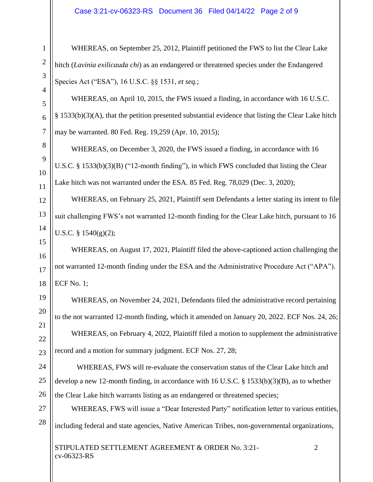# Case 3:21-cv-06323-RS Document 36 Filed 04/14/22 Page 2 of 9

WHEREAS, on September 25, 2012, Plaintiff petitioned the FWS to list the Clear Lake hitch (*Lavinia exilicauda chi*) as an endangered or threatened species under the Endangered Species Act ("ESA"), 16 U.S.C. §§ 1531, *et seq.*;

WHEREAS, on April 10, 2015, the FWS issued a finding, in accordance with 16 U.S.C.  $§$  1533(b)(3)(A), that the petition presented substantial evidence that listing the Clear Lake hitch may be warranted. 80 Fed. Reg. 19,259 (Apr. 10, 2015);

WHEREAS, on December 3, 2020, the FWS issued a finding, in accordance with 16 U.S.C. § 1533(b)(3)(B) ("12-month finding"), in which FWS concluded that listing the Clear Lake hitch was not warranted under the ESA. 85 Fed. Reg. 78,029 (Dec. 3, 2020);

WHEREAS, on February 25, 2021, Plaintiff sent Defendants a letter stating its intent to file suit challenging FWS's not warranted 12-month finding for the Clear Lake hitch, pursuant to 16 U.S.C. § 1540(g)(2);

WHEREAS, on August 17, 2021, Plaintiff filed the above-captioned action challenging the not warranted 12-month finding under the ESA and the Administrative Procedure Act ("APA"). ECF No. 1;

WHEREAS, on November 24, 2021, Defendants filed the administrative record pertaining to the not warranted 12-month finding, which it amended on January 20, 2022. ECF Nos. 24, 26; WHEREAS, on February 4, 2022, Plaintiff filed a motion to supplement the administrative record and a motion for summary judgment. ECF Nos. 27, 28;

WHEREAS, FWS will re-evaluate the conservation status of the Clear Lake hitch and develop a new 12-month finding, in accordance with 16 U.S.C. § 1533(b)(3)(B), as to whether the Clear Lake hitch warrants listing as an endangered or threatened species;

WHEREAS, FWS will issue a "Dear Interested Party" notification letter to various entities, including federal and state agencies, Native American Tribes, non-governmental organizations,

STIPULATED SETTLEMENT AGREEMENT & ORDER No. 3:21-<br>2 cv-06323-RS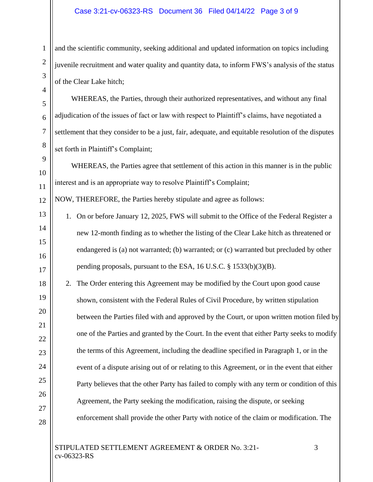# Case 3:21-cv-06323-RS Document 36 Filed 04/14/22 Page 3 of 9

and the scientific community, seeking additional and updated information on topics including juvenile recruitment and water quality and quantity data, to inform FWS's analysis of the status of the Clear Lake hitch;

WHEREAS, the Parties, through their authorized representatives, and without any final adjudication of the issues of fact or law with respect to Plaintiff's claims, have negotiated a settlement that they consider to be a just, fair, adequate, and equitable resolution of the disputes set forth in Plaintiff's Complaint;

WHEREAS, the Parties agree that settlement of this action in this manner is in the public interest and is an appropriate way to resolve Plaintiff's Complaint;

NOW, THEREFORE, the Parties hereby stipulate and agree as follows:

1

2

3

4

5

6

7

8

9

10

11

12

13

14

15

16

17

18

19

20

21

22

23

24

25

26

27

28

- 1. On or before January 12, 2025, FWS will submit to the Office of the Federal Register a new 12-month finding as to whether the listing of the Clear Lake hitch as threatened or endangered is (a) not warranted; (b) warranted; or (c) warranted but precluded by other pending proposals, pursuant to the ESA, 16 U.S.C. § 1533(b)(3)(B).
- 2. The Order entering this Agreement may be modified by the Court upon good cause shown, consistent with the Federal Rules of Civil Procedure, by written stipulation between the Parties filed with and approved by the Court, or upon written motion filed by one of the Parties and granted by the Court. In the event that either Party seeks to modify the terms of this Agreement, including the deadline specified in Paragraph 1, or in the event of a dispute arising out of or relating to this Agreement, or in the event that either Party believes that the other Party has failed to comply with any term or condition of this Agreement, the Party seeking the modification, raising the dispute, or seeking enforcement shall provide the other Party with notice of the claim or modification. The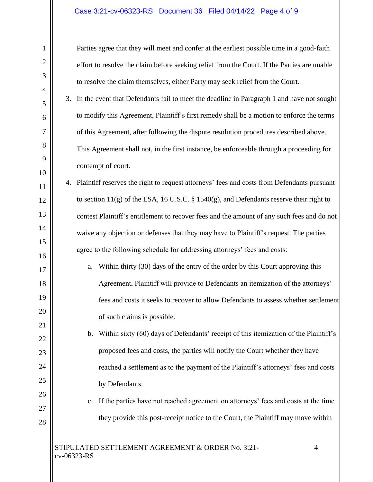## Case 3:21-cv-06323-RS Document 36 Filed 04/14/22 Page 4 of 9

1

2

3

4

5

6

7

8

9

10

11

12

13

14

15

16

17

18

19

20

21

22

23

24

25

26

27

28

Parties agree that they will meet and confer at the earliest possible time in a good-faith effort to resolve the claim before seeking relief from the Court. If the Parties are unable to resolve the claim themselves, either Party may seek relief from the Court.

3. In the event that Defendants fail to meet the deadline in Paragraph 1 and have not sought to modify this Agreement, Plaintiff's first remedy shall be a motion to enforce the terms of this Agreement, after following the dispute resolution procedures described above. This Agreement shall not, in the first instance, be enforceable through a proceeding for contempt of court.

4. Plaintiff reserves the right to request attorneys' fees and costs from Defendants pursuant to section  $11(g)$  of the ESA, 16 U.S.C. § 1540 $(g)$ , and Defendants reserve their right to contest Plaintiff's entitlement to recover fees and the amount of any such fees and do not waive any objection or defenses that they may have to Plaintiff's request. The parties agree to the following schedule for addressing attorneys' fees and costs:

a. Within thirty (30) days of the entry of the order by this Court approving this Agreement, Plaintiff will provide to Defendants an itemization of the attorneys' fees and costs it seeks to recover to allow Defendants to assess whether settlement of such claims is possible.

b. Within sixty (60) days of Defendants' receipt of this itemization of the Plaintiff's proposed fees and costs, the parties will notify the Court whether they have reached a settlement as to the payment of the Plaintiff's attorneys' fees and costs by Defendants.

# c. If the parties have not reached agreement on attorneys' fees and costs at the time they provide this post-receipt notice to the Court, the Plaintiff may move within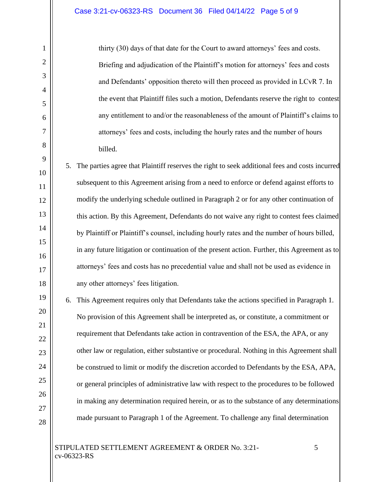1

2

3

4

5

6

7

8

9

10

11

12

13

14

15

16

17

18

19

20

21

22

23

24

25

26

27

28

thirty (30) days of that date for the Court to award attorneys' fees and costs. Briefing and adjudication of the Plaintiff's motion for attorneys' fees and costs and Defendants' opposition thereto will then proceed as provided in LCvR 7. In the event that Plaintiff files such a motion, Defendants reserve the right to contest any entitlement to and/or the reasonableness of the amount of Plaintiff's claims to attorneys' fees and costs, including the hourly rates and the number of hours billed.

5. The parties agree that Plaintiff reserves the right to seek additional fees and costs incurred subsequent to this Agreement arising from a need to enforce or defend against efforts to modify the underlying schedule outlined in Paragraph 2 or for any other continuation of this action. By this Agreement, Defendants do not waive any right to contest fees claimed by Plaintiff or Plaintiff's counsel, including hourly rates and the number of hours billed, in any future litigation or continuation of the present action. Further, this Agreement as to attorneys' fees and costs has no precedential value and shall not be used as evidence in any other attorneys' fees litigation.

6. This Agreement requires only that Defendants take the actions specified in Paragraph 1. No provision of this Agreement shall be interpreted as, or constitute, a commitment or requirement that Defendants take action in contravention of the ESA, the APA, or any other law or regulation, either substantive or procedural. Nothing in this Agreement shall be construed to limit or modify the discretion accorded to Defendants by the ESA, APA, or general principles of administrative law with respect to the procedures to be followed in making any determination required herein, or as to the substance of any determinations made pursuant to Paragraph 1 of the Agreement. To challenge any final determination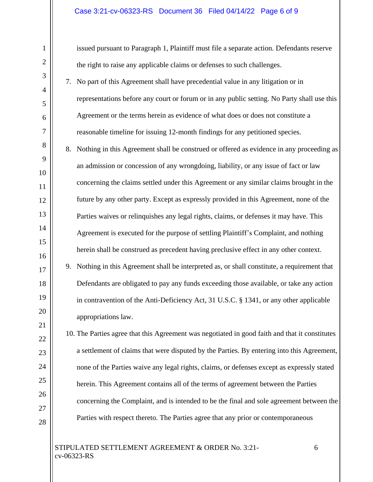### Case 3:21-cv-06323-RS Document 36 Filed 04/14/22 Page 6 of 9

issued pursuant to Paragraph 1, Plaintiff must file a separate action. Defendants reserve the right to raise any applicable claims or defenses to such challenges.

- 7. No part of this Agreement shall have precedential value in any litigation or in representations before any court or forum or in any public setting. No Party shall use this Agreement or the terms herein as evidence of what does or does not constitute a reasonable timeline for issuing 12-month findings for any petitioned species.
- 8. Nothing in this Agreement shall be construed or offered as evidence in any proceeding as an admission or concession of any wrongdoing, liability, or any issue of fact or law concerning the claims settled under this Agreement or any similar claims brought in the future by any other party. Except as expressly provided in this Agreement, none of the Parties waives or relinquishes any legal rights, claims, or defenses it may have. This Agreement is executed for the purpose of settling Plaintiff's Complaint, and nothing herein shall be construed as precedent having preclusive effect in any other context.
- 9. Nothing in this Agreement shall be interpreted as, or shall constitute, a requirement that Defendants are obligated to pay any funds exceeding those available, or take any action in contravention of the Anti-Deficiency Act, 31 U.S.C. § 1341, or any other applicable appropriations law.

10. The Parties agree that this Agreement was negotiated in good faith and that it constitutes a settlement of claims that were disputed by the Parties. By entering into this Agreement, none of the Parties waive any legal rights, claims, or defenses except as expressly stated herein. This Agreement contains all of the terms of agreement between the Parties concerning the Complaint, and is intended to be the final and sole agreement between the Parties with respect thereto. The Parties agree that any prior or contemporaneous

## STIPULATED SETTLEMENT AGREEMENT & ORDER No. 3:21- 6 cv-06323-RS

1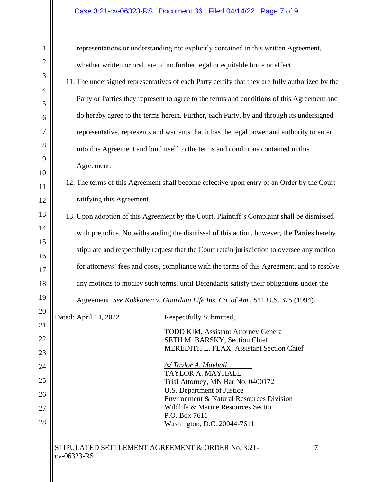## Case 3:21-cv-06323-RS Document 36 Filed 04/14/22 Page 7 of 9

STIPULATED SETTLEMENT AGREEMENT & ORDER No. 3:21- 7 cv-06323-RS 1 2 3 4 5 6 7 8 9 10 11 12 13 14 15 16 17 18 19 20 21 22 23 24 25 26 27 28 representations or understanding not explicitly contained in this written Agreement, whether written or oral, are of no further legal or equitable force or effect. 11. The undersigned representatives of each Party certify that they are fully authorized by the Party or Parties they represent to agree to the terms and conditions of this Agreement and do hereby agree to the terms herein. Further, each Party, by and through its undersigned representative, represents and warrants that it has the legal power and authority to enter into this Agreement and bind itself to the terms and conditions contained in this Agreement. 12. The terms of this Agreement shall become effective upon entry of an Order by the Court ratifying this Agreement. 13. Upon adoption of this Agreement by the Court, Plaintiff's Complaint shall be dismissed with prejudice. Notwithstanding the dismissal of this action, however, the Parties hereby stipulate and respectfully request that the Court retain jurisdiction to oversee any motion for attorneys' fees and costs, compliance with the terms of this Agreement, and to resolve any motions to modify such terms, until Defendants satisfy their obligations under the Agreement. *See Kokkonen v. Guardian Life Ins. Co. of Am.*, 511 U.S. 375 (1994). Dated: April 14, 2022 Respectfully Submitted, TODD KIM, Assistant Attorney General SETH M. BARSKY, Section Chief MEREDITH L. FLAX, Assistant Section Chief */s/ Taylor A. Mayhall* TAYLOR A. MAYHALL Trial Attorney, MN Bar No. 0400172 U.S. Department of Justice Environment & Natural Resources Division Wildlife & Marine Resources Section P.O. Box 7611 Washington, D.C. 20044-7611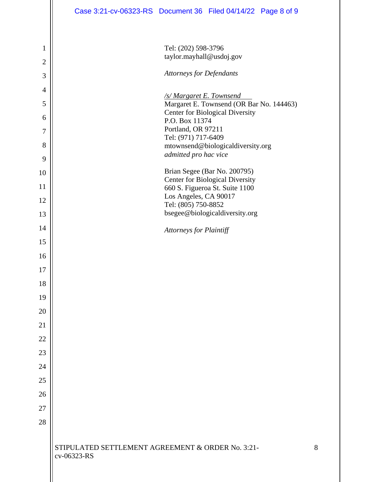|                | Case 3:21-cv-06323-RS Document 36 Filed 04/14/22 Page 8 of 9                |
|----------------|-----------------------------------------------------------------------------|
| 1              | Tel: (202) 598-3796                                                         |
| $\overline{c}$ | taylor.mayhall@usdoj.gov                                                    |
| 3              | <b>Attorneys for Defendants</b>                                             |
| $\overline{4}$ |                                                                             |
| 5              | <b>/s/ Margaret E. Townsend</b><br>Margaret E. Townsend (OR Bar No. 144463) |
| 6              | <b>Center for Biological Diversity</b><br>P.O. Box 11374                    |
| $\overline{7}$ | Portland, OR 97211                                                          |
| 8              | Tel: (971) 717-6409<br>mtownsend@biologicaldiversity.org                    |
| 9              | admitted pro hac vice                                                       |
| 10             | Brian Segee (Bar No. 200795)                                                |
| 11             | <b>Center for Biological Diversity</b><br>660 S. Figueroa St. Suite 1100    |
| 12             | Los Angeles, CA 90017<br>Tel: (805) 750-8852                                |
| 13             | bsegee@biologicaldiversity.org                                              |
| 14             | <b>Attorneys for Plaintiff</b>                                              |
| 15             |                                                                             |
| 16             |                                                                             |
| 17             |                                                                             |
| 18             |                                                                             |
| 19             |                                                                             |
| 20             |                                                                             |
| 21             |                                                                             |
| 22             |                                                                             |
| 23             |                                                                             |
| 24             |                                                                             |
| 25             |                                                                             |
| 26             |                                                                             |
| 27             |                                                                             |
| 28             |                                                                             |
|                |                                                                             |
|                | STIPULATED SETTLEMENT AGREEMENT & ORDER No. 3:21-<br>8<br>cv-06323-RS       |
|                |                                                                             |